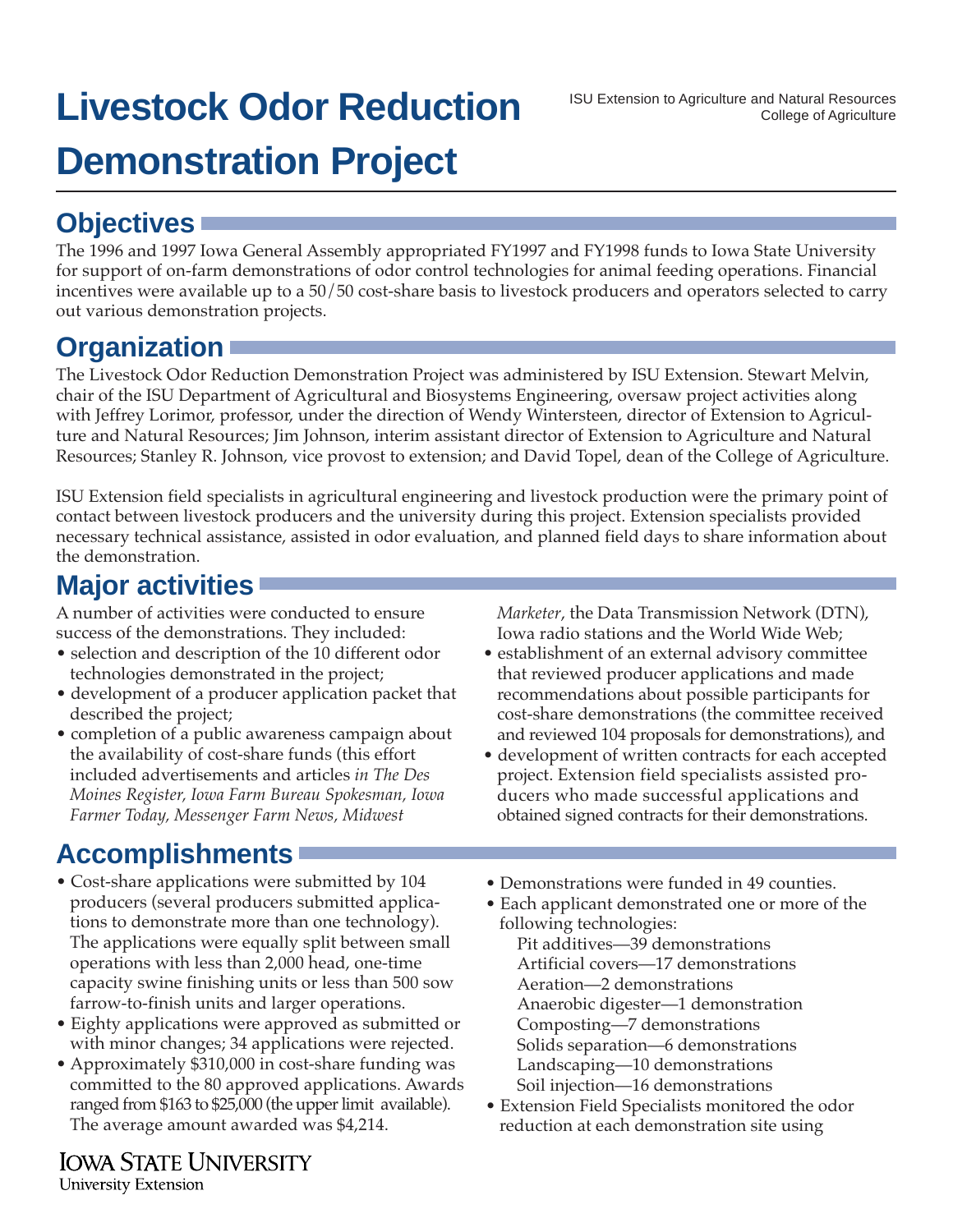# **Livestock Odor Reduction Demonstration Project**

The 1996 and 1997 Iowa General Assembly appropriated FY1997 and FY1998 funds to Iowa State University for support of on-farm demonstrations of odor control technologies for animal feeding operations. Financial incentives were available up to a 50/50 cost-share basis to livestock producers and operators selected to carry out various demonstration projects.

### **Organization**

The Livestock Odor Reduction Demonstration Project was administered by ISU Extension. Stewart Melvin, chair of the ISU Department of Agricultural and Biosystems Engineering, oversaw project activities along with Jeffrey Lorimor, professor, under the direction of Wendy Wintersteen, director of Extension to Agriculture and Natural Resources; Jim Johnson, interim assistant director of Extension to Agriculture and Natural Resources; Stanley R. Johnson, vice provost to extension; and David Topel, dean of the College of Agriculture.

ISU Extension field specialists in agricultural engineering and livestock production were the primary point of contact between livestock producers and the university during this project. Extension specialists provided necessary technical assistance, assisted in odor evaluation, and planned field days to share information about the demonstration.

# **Major activities**

A number of activities were conducted to ensure success of the demonstrations. They included:

- selection and description of the 10 different odor technologies demonstrated in the project;
- development of a producer application packet that described the project;
- completion of a public awareness campaign about the availability of cost-share funds (this effort included advertisements and articles *in The Des Moines Register, Iowa Farm Bureau Spokesman, Iowa Farmer Today, Messenger Farm News, Midwest*

## **Accomplishments**

- Cost-share applications were submitted by 104 producers (several producers submitted applications to demonstrate more than one technology). The applications were equally split between small operations with less than 2,000 head, one-time capacity swine finishing units or less than 500 sow farrow-to-finish units and larger operations.
- Eighty applications were approved as submitted or with minor changes; 34 applications were rejected.
- Approximately \$310,000 in cost-share funding was committed to the 80 approved applications. Awards ranged from \$163 to \$25,000 (the upper limit available). The average amount awarded was \$4,214.

**IOWA STATE UNIVERSITY** University Extension

*Marketer*, the Data Transmission Network (DTN), Iowa radio stations and the World Wide Web;

- establishment of an external advisory committee that reviewed producer applications and made recommendations about possible participants for cost-share demonstrations (the committee received and reviewed 104 proposals for demonstrations), and
- development of written contracts for each accepted project. Extension field specialists assisted producers who made successful applications and obtained signed contracts for their demonstrations.
- Demonstrations were funded in 49 counties.
- Each applicant demonstrated one or more of the following technologies:
	- Pit additives—39 demonstrations Artificial covers—17 demonstrations Aeration—2 demonstrations Anaerobic digester—1 demonstration Composting—7 demonstrations Solids separation—6 demonstrations Landscaping—10 demonstrations Soil injection—16 demonstrations
- Extension Field Specialists monitored the odor reduction at each demonstration site using